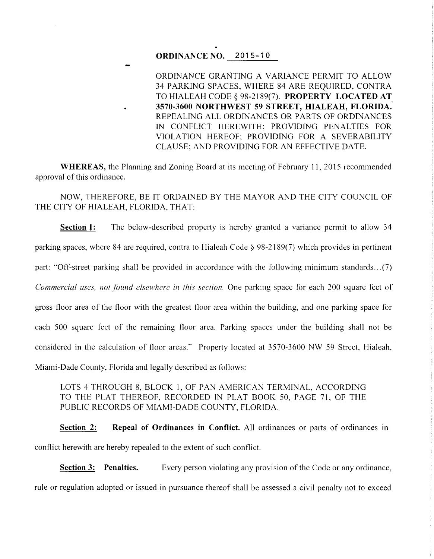## **ORDINANCE NO. 2015-10**

ORDINANCE GRANTING A VARIANCE PERMIT TO ALLOW 34 PARKING SPACES, WHERE 84 ARE REQUIRED, CONTRA TO HIALEAH CODE§ 98-2189(7). **PROPERTY LOCATED AT. 3570-3600 NORTHWEST 59 STREET, HIALEAH, FLORIDA.**  REPEALING ALL ORDINANCES OR PARTS OF ORDINANCES IN CONFLICT HEREWITH; PROVIDING PENALTIES FOR VIOLATION HEREOF; PROVIDING FOR A SEVERABILITY CLAUSE; AND PROVIDING FOR AN EFFECTIVE DATE.

**WHEREAS, the Planning and Zoning Board at its meeting of February 11, 2015 recommended** approval of this ordinance.

NOW, THEREFORE, BE IT ORDAINED BY THE MAYOR AND THE CITY COUNCIL OF THE CITY OF HIALEAH, FLORIDA, THAT:

**Section 1:** The below-described property is hereby granted a variance permit to allow 34 parking spaces, where 84 are required, contra to Hialeah Code § 98-2189(7) which provides in pertinent part: "Off-street parking shall be provided in accordance with the following minimum standards ... (7) *Commercial uses, not found elsewhere in this section.* One parking space for each 200 square feet of gross floor area of the floor with the greatest floor area within the building, and one parking space for each 500 square feet of the remaining floor area. Parking spaces under the building shall not be considered in the calculation of floor areas." Property located at 3570-3600 NW 59 Street, Hialeah, Miami-Dade County, Florida and legally described as follows:

LOTS 4 THROUGH 8, BLOCK 1, OF PAN AMERICAN TERMINAL, ACCORDING TO THE PLAT THEREOF, RECORDED IN PLAT BOOK 50, PAGE 71, OF THE PUBLIC RECORDS OF MIAMI-DADE COUNTY, FLORIDA.

**Section 2:** Repeal of Ordinances in Conflict. All ordinances or parts of ordinances in conflict herewith are hereby repealed to the extent of such conflict.

**Section 3: Penalties.** Every person violating any provision of the Code or any ordinance, rule or regulation adopted or issued in pursuance thereof shall be assessed a civil penalty not to exceed